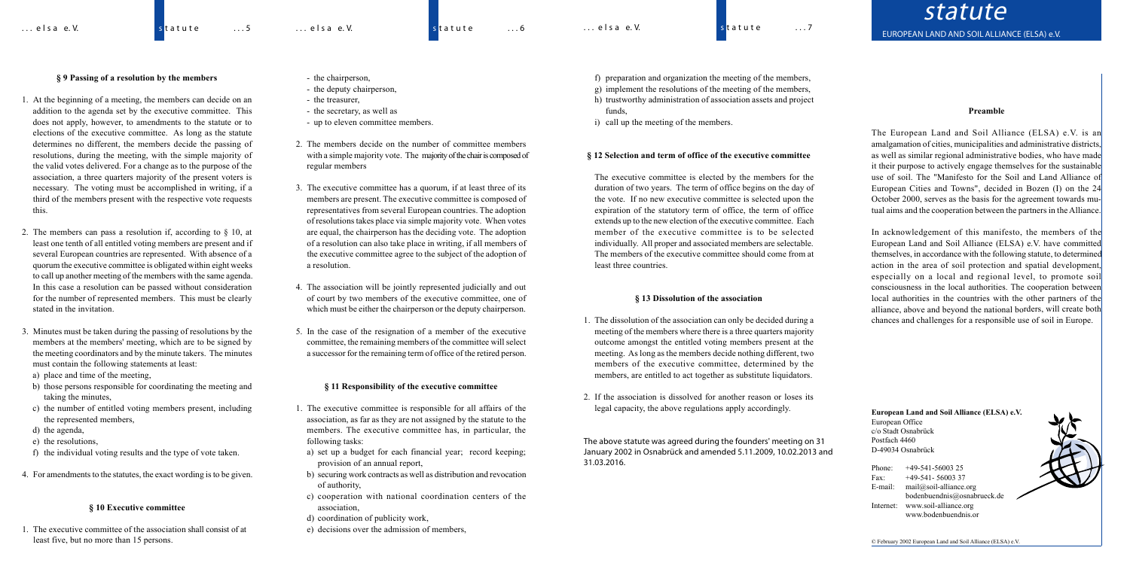# **§ 9 Passing of a resolution by the members**

- 1. At the beginning of a meeting, the members can decide on an addition to the agenda set by the executive committee. This does not apply, however, to amendments to the statute or to elections of the executive committee. As long as the statute determines no different, the members decide the passing of resolutions, during the meeting, with the simple majority of the valid votes delivered. For a change as to the purpose of the association, a three quarters majority of the present voters is necessary. The voting must be accomplished in writing, if a third of the members present with the respective vote requests this.
- 2. The members can pass a resolution if, according to § 10, at least one tenth of all entitled voting members are present and if several European countries are represented. With absence of a quorum the executive committee is obligated within eight weeks to call up another meeting of the members with the same agenda. In this case a resolution can be passed without consideration for the number of represented members. This must be clearly stated in the invitation.
- 3. Minutes must be taken during the passing of resolutions by the members at the members' meeting, which are to be signed by the meeting coordinators and by the minute takers. The minutes must contain the following statements at least:
- a) place and time of the meeting,
- b) those persons responsible for coordinating the meeting and taking the minutes,
- c) the number of entitled voting members present, including the represented members,
- d) the agenda,
- e) the resolutions,
- f) the individual voting results and the type of vote taken.
- 4. For amendments to the statutes, the exact wording is to be given.

## **§ 10 Executive committee**

1. The executive committee of the association shall consist of at least five, but no more than 15 persons.

**European Land and Soil Alliance (ELSA) e.V.** European Office c/o Stadt Osnabrück Postfach 4460 D-49034 Osnabrück

Phone: +49-541-56003 25 Fax: +49-541- 56003 37 E-mail: mail@soil-alliance.org bodenbuendnis@osnabrueck.de Internet: www.soil-alliance.org www.bodenbuendnis.or

© February 2002 European Land and Soil Alliance (ELSA) e.V.

- the chairperson,
- the deputy chairperson,
- the treasurer,
- the secretary, as well as
- up to eleven committee members.
- 2. The members decide on the number of committee members with a simple majority vote. The majority of the chair is composed of regular members
- 3. The executive committee has a quorum, if at least three of its members are present. The executive committee is composed of representatives from several European countries. The adoption of resolutionstakes place via simple majority vote. When votes are equal, the chairperson has the deciding vote. The adoption of a resolution can also take place in writing, if all members of the executive committee agree to the subject of the adoption of a resolution.
- 4. The association will be jointly represented judicially and out of court by two members of the executive committee, one of which must be either the chairperson or the deputy chairperson.
- 5. In the case of the resignation of a member of the executive committee, the remaining members of the committee will select a successor for the remaining term of office of the retired person.

### **§ 11 Responsibility of the executive committee**

- 1. The executive committee is responsible for all affairs of the association, as far as they are not assigned by the statute to the members. The executive committee has, in particular, the following tasks:
	- a) set up a budget for each financial year; record keeping; provision of an annual report,
	- b) securing work contracts as well as distribution and revocation of authority,
	- c) cooperation with national coordination centers of the association,
	- d) coordination of publicity work,
	- e) decisions over the admission of members,
- f) preparation and organization the meeting of the members,
- g) implement the resolutions of the meeting of the members,
- h) trustworthy administration of association assets and project funds,
- i) call up the meeting of the members.

## **§ 12 Selection and term of office of the executive committee**

statute *EUROPEAN LAND AND SOIL ALLIANCE (ELSA) e.V.*

The executive committee is elected by the members for the duration of two years. The term of office begins on the day of the vote. If no new executive committee is selected upon the expiration of the statutory term of office, the term of office extends up to the new election of the executive committee. Each member of the executive committee is to be selected individually. All proper and associated members are selectable. The members of the executive committee should come from at least three countries.

#### **§ 13 Dissolution of the association**

- 1. The dissolution of the association can only be decided during a meeting of the members where there is a three quarters majority outcome amongst the entitled voting members present at the meeting. As long as the members decide nothing different, two members of the executive committee, determined by the members, are entitled to act together as substitute liquidators.
- 2. If the association is dissolved for another reason or loses its legal capacity, the above regulations apply accordingly.

*The above statute was agreed during the founders' meeting on 31 January 2002 in Osnabrück and amended 5.11.2009, 10.02.2013 and 31.03.2016.*

#### **Preamble**

The European Land and Soil Alliance (ELSA) e.V. is an amalgamation of cities, municipalities and administrative districts, as well as similar regional administrative bodies, who have made it their purpose to actively engage themselves for the sustainable use of soil. The "Manifesto for the Soil and Land Alliance of European Cities and Towns", decided in Bozen (I) on the 24 October 2000, serves as the basis for the agreement towards mutual aims and the cooperation between the partners in the Alliance.

In acknowledgement of this manifesto, the members of the European Land and Soil Alliance (ELSA) e.V. have committed themselves, in accordance with the following statute, to determined action in the area of soil protection and spatial development, especially on a local and regional level, to promote soil consciousness in the local authorities. The cooperation between local authorities in the countries with the other partners of the alliance, above and beyond the national borders, will create both chances and challenges for a responsible use of soil in Europe.